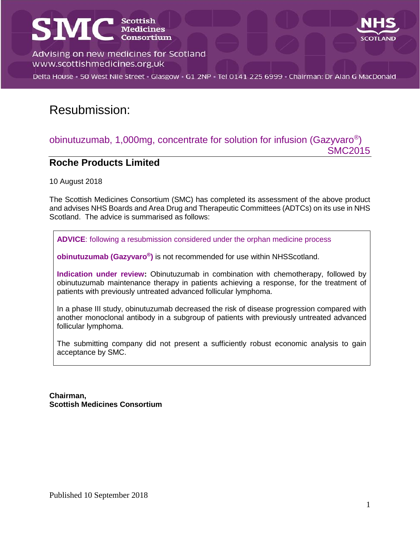# **SMC** Scottish



Advising on new medicines for Scotland www.scottishmedicines.org.uk

Delta House · 50 West Nile Street · Glasgow · G1 2NP · Tel 0141 225 6999 · Chairman: Dr Alan G MacDonald

# Resubmission:

#### obinutuzumab, 1,000mg, concentrate for solution for infusion (Gazyvaro<sup>®</sup>) SMC2015

#### **Roche Products Limited**

10 August 2018

The Scottish Medicines Consortium (SMC) has completed its assessment of the above product and advises NHS Boards and Area Drug and Therapeutic Committees (ADTCs) on its use in NHS Scotland. The advice is summarised as follows:

**ADVICE**: following a resubmission considered under the orphan medicine process

**obinutuzumab (Gazyvaro® )** is not recommended for use within NHSScotland.

**Indication under review:** Obinutuzumab in combination with chemotherapy, followed by obinutuzumab maintenance therapy in patients achieving a response, for the treatment of patients with previously untreated advanced follicular lymphoma.

In a phase III study, obinutuzumab decreased the risk of disease progression compared with another monoclonal antibody in a subgroup of patients with previously untreated advanced follicular lymphoma.

The submitting company did not present a sufficiently robust economic analysis to gain acceptance by SMC.

**Chairman, Scottish Medicines Consortium**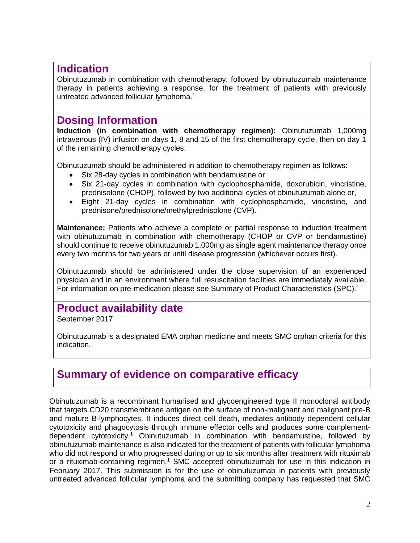#### **Indication**

Obinutuzumab in combination with chemotherapy, followed by obinutuzumab maintenance therapy in patients achieving a response, for the treatment of patients with previously untreated advanced follicular lymphoma.<sup>1</sup>

#### **Dosing Information**

**Induction (in combination with chemotherapy regimen):** Obinutuzumab 1,000mg intravenous (IV) infusion on days 1, 8 and 15 of the first chemotherapy cycle, then on day 1 of the remaining chemotherapy cycles.

Obinutuzumab should be administered in addition to chemotherapy regimen as follows:

- Six 28-day cycles in combination with bendamustine or
- Six 21-day cycles in combination with cyclophosphamide, doxorubicin, vincristine, prednisolone (CHOP), followed by two additional cycles of obinutuzumab alone or,
- Eight 21-day cycles in combination with cyclophosphamide, vincristine, and prednisone/prednisolone/methylprednisolone (CVP).

**Maintenance:** Patients who achieve a complete or partial response to induction treatment with obinutuzumab in combination with chemotherapy (CHOP or CVP or bendamustine) should continue to receive obinutuzumab 1,000mg as single agent maintenance therapy once every two months for two years or until disease progression (whichever occurs first).

Obinutuzumab should be administered under the close supervision of an experienced physician and in an environment where full resuscitation facilities are immediately available. For information on pre-medication please see Summary of Product Characteristics (SPC).<sup>1</sup>

# **Product availability date**

September 2017

Obinutuzumab is a designated EMA orphan medicine and meets SMC orphan criteria for this indication.

## **Summary of evidence on comparative efficacy**

Obinutuzumab is a recombinant humanised and glycoengineered type II monoclonal antibody that targets CD20 transmembrane antigen on the surface of non-malignant and malignant pre-B and mature B-lymphocytes. It induces direct cell death, mediates antibody dependent cellular cytotoxicity and phagocytosis through immune effector cells and produces some complementdependent cytotoxicity.<sup>1</sup> Obinutuzumab in combination with bendamustine, followed by obinutuzumab maintenance is also indicated for the treatment of patients with follicular lymphoma who did not respond or who progressed during or up to six months after treatment with rituximab or a rituximab-containing regimen.<sup>1</sup> SMC accepted obinutuzumab for use in this indication in February 2017. This submission is for the use of obinutuzumab in patients with previously untreated advanced follicular lymphoma and the submitting company has requested that SMC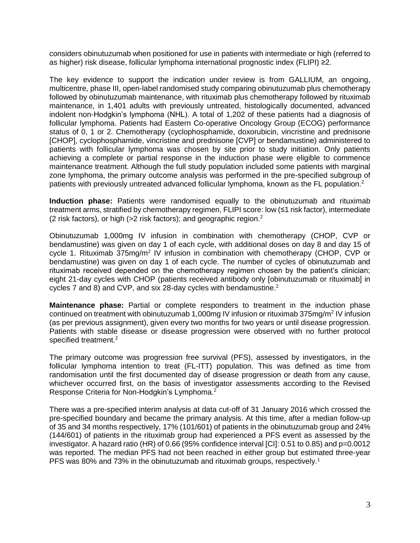considers obinutuzumab when positioned for use in patients with intermediate or high (referred to as higher) risk disease, follicular lymphoma international prognostic index (FLIPI) ≥2.

The key evidence to support the indication under review is from GALLIUM, an ongoing, multicentre, phase III, open-label randomised study comparing obinutuzumab plus chemotherapy followed by obinutuzumab maintenance, with rituximab plus chemotherapy followed by rituximab maintenance, in 1,401 adults with previously untreated, histologically documented, advanced indolent non-Hodgkin's lymphoma (NHL). A total of 1,202 of these patients had a diagnosis of follicular lymphoma. Patients had Eastern Co-operative Oncology Group (ECOG) performance status of 0, 1 or 2. Chemotherapy (cyclophosphamide, doxorubicin, vincristine and prednisone [CHOP], cyclophosphamide, vincristine and prednisone [CVP] or bendamustine) administered to patients with follicular lymphoma was chosen by site prior to study initiation. Only patients achieving a complete or partial response in the induction phase were eligible to commence maintenance treatment. Although the full study population included some patients with marginal zone lymphoma, the primary outcome analysis was performed in the pre-specified subgroup of patients with previously untreated advanced follicular lymphoma, known as the FL population.<sup>2</sup>

**Induction phase:** Patients were randomised equally to the obinutuzumab and rituximab treatment arms, stratified by chemotherapy regimen, FLIPI score: low (≤1 risk factor), intermediate (2 risk factors), or high (>2 risk factors); and geographic region.<sup>2</sup>

Obinutuzumab 1,000mg IV infusion in combination with chemotherapy (CHOP, CVP or bendamustine) was given on day 1 of each cycle, with additional doses on day 8 and day 15 of cycle 1. Rituximab 375mg/m<sup>2</sup> IV infusion in combination with chemotherapy (CHOP, CVP or bendamustine) was given on day 1 of each cycle. The number of cycles of obinutuzumab and rituximab received depended on the chemotherapy regimen chosen by the patient's clinician; eight 21-day cycles with CHOP (patients received antibody only [obinutuzumab or rituximab] in cycles 7 and 8) and CVP, and six 28-day cycles with bendamustine. $^2$ 

**Maintenance phase:** Partial or complete responders to treatment in the induction phase continued on treatment with obinutuzumab 1,000mg IV infusion or rituximab 375mg/m<sup>2</sup> IV infusion (as per previous assignment), given every two months for two years or until disease progression. Patients with stable disease or disease progression were observed with no further protocol specified treatment.<sup>2</sup>

The primary outcome was progression free survival (PFS), assessed by investigators, in the follicular lymphoma intention to treat (FL-ITT) population. This was defined as time from randomisation until the first documented day of disease progression or death from any cause, whichever occurred first, on the basis of investigator assessments according to the Revised Response Criteria for Non-Hodgkin's Lymphoma.<sup>2</sup>

There was a pre-specified interim analysis at data cut-off of 31 January 2016 which crossed the pre-specified boundary and became the primary analysis. At this time, after a median follow-up of 35 and 34 months respectively, 17% (101/601) of patients in the obinutuzumab group and 24% (144/601) of patients in the rituximab group had experienced a PFS event as assessed by the investigator. A hazard ratio (HR) of 0.66 (95% confidence interval [CI]: 0.51 to 0.85) and p=0.0012 was reported. The median PFS had not been reached in either group but estimated three-year PFS was 80% and 73% in the obinutuzumab and rituximab groups, respectively.<sup>1</sup>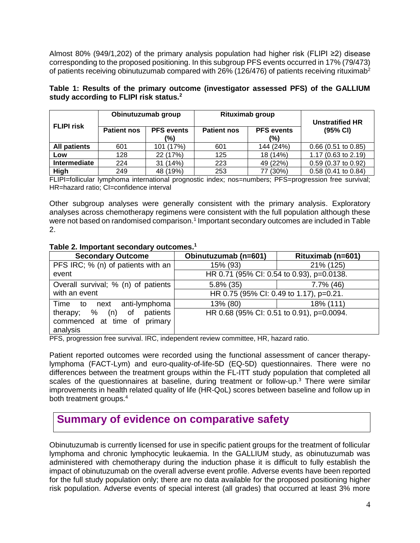Almost 80% (949/1,202) of the primary analysis population had higher risk (FLIPI ≥2) disease corresponding to the proposed positioning. In this subgroup PFS events occurred in 17% (79/473) of patients receiving obinutuzumab compared with  $26\%$  (126/476) of patients receiving rituximab<sup>2</sup>

**Table 1: Results of the primary outcome (investigator assessed PFS) of the GALLIUM study according to FLIPI risk status.<sup>2</sup>**

|                     | Obinutuzumab group |                          | Rituximab group    |                          | <b>Unstratified HR</b> |
|---------------------|--------------------|--------------------------|--------------------|--------------------------|------------------------|
| <b>FLIPI risk</b>   | <b>Patient nos</b> | <b>PFS</b> events<br>(%) | <b>Patient nos</b> | <b>PFS</b> events<br>(%) | (95% CI)               |
| <b>All patients</b> | 601                | 101 (17%)                | 601                | 144 (24%)                | $0.66$ (0.51 to 0.85)  |
| Low                 | 128                | 22 (17%)                 | 125                | 18 (14%)                 | 1.17 (0.63 to 2.19)    |
| <b>Intermediate</b> | 224                | 31 (14%)                 | 223                | 49 (22%)                 | $0.59$ (0.37 to 0.92)  |
| High                | 249                | 48 (19%)                 | 253                | 77 (30%)                 | $0.58$ (0.41 to 0.84)  |

FLIPI=follicular lymphoma international prognostic index; nos=numbers; PFS=progression free survival; HR=hazard ratio; CI=confidence interval

Other subgroup analyses were generally consistent with the primary analysis. Exploratory analyses across chemotherapy regimens were consistent with the full population although these were not based on randomised comparison.<sup>1</sup> Important secondary outcomes are included in Table 2.

#### **Table 2. Important secondary outcomes.<sup>1</sup>**

| <b>Secondary Outcome</b>            | Obinutuzumab (n=601)                      | Rituximab (n=601) |  |
|-------------------------------------|-------------------------------------------|-------------------|--|
| PFS IRC; % (n) of patients with an  | 15% (93)                                  | 21% (125)         |  |
| event                               | HR 0.71 (95% CI: 0.54 to 0.93), p=0.0138. |                   |  |
| Overall survival; % (n) of patients | $5.8\%$ (35)                              | 7.7% (46)         |  |
| with an event                       | HR 0.75 (95% CI: 0.49 to 1.17), p=0.21.   |                   |  |
| Time to next anti-lymphoma          | 13% (80)                                  | 18% (111)         |  |
| therapy; % (n) of patients          | HR 0.68 (95% CI: 0.51 to 0.91), p=0.0094. |                   |  |
| commenced at time of primary        |                                           |                   |  |
| analysis                            |                                           |                   |  |

PFS, progression free survival. IRC, independent review committee, HR, hazard ratio.

Patient reported outcomes were recorded using the functional assessment of cancer therapylymphoma (FACT-Lym) and euro-quality-of-life-5D (EQ-5D) questionnaires. There were no differences between the treatment groups within the FL-ITT study population that completed all scales of the questionnaires at baseline, during treatment or follow-up.<sup>3</sup> There were similar improvements in health related quality of life (HR-QoL) scores between baseline and follow up in both treatment groups.<sup>4</sup>

## **Summary of evidence on comparative safety**

Obinutuzumab is currently licensed for use in specific patient groups for the treatment of follicular lymphoma and chronic lymphocytic leukaemia. In the GALLIUM study, as obinutuzumab was administered with chemotherapy during the induction phase it is difficult to fully establish the impact of obinutuzumab on the overall adverse event profile. Adverse events have been reported for the full study population only; there are no data available for the proposed positioning higher risk population. Adverse events of special interest (all grades) that occurred at least 3% more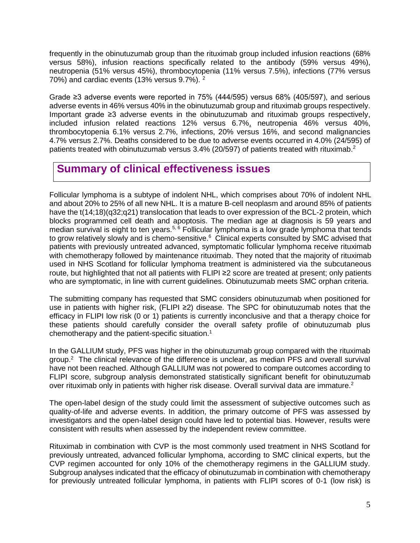frequently in the obinutuzumab group than the rituximab group included infusion reactions (68% versus 58%), infusion reactions specifically related to the antibody (59% versus 49%), neutropenia (51% versus 45%), thrombocytopenia (11% versus 7.5%), infections (77% versus 70%) and cardiac events (13% versus 9.7%). <sup>2</sup>

Grade  $\geq$ 3 adverse events were reported in 75% (444/595) versus 68% (405/597), and serious adverse events in 46% versus 40% in the obinutuzumab group and rituximab groups respectively. Important grade ≥3 adverse events in the obinutuzumab and rituximab groups respectively, included infusion related reactions 12% versus 6.7%, neutropenia 46% versus 40%, thrombocytopenia 6.1% versus 2.7%, infections, 20% versus 16%, and second malignancies 4.7% versus 2.7%. Deaths considered to be due to adverse events occurred in 4.0% (24/595) of patients treated with obinutuzumab versus 3.4% (20/597) of patients treated with rituximab.<sup>2</sup>

## **Summary of clinical effectiveness issues**

Follicular lymphoma is a subtype of indolent NHL, which comprises about 70% of indolent NHL and about 20% to 25% of all new NHL. It is a mature B-cell neoplasm and around 85% of patients have the t(14:18)(q32;q21) translocation that leads to over expression of the BCL-2 protein, which blocks programmed cell death and apoptosis. The median age at diagnosis is 59 years and median survival is eight to ten years.<sup>5, 6</sup> Follicular lymphoma is a low grade lymphoma that tends to grow relatively slowly and is chemo-sensitive. $6$  Clinical experts consulted by SMC advised that patients with previously untreated advanced, symptomatic follicular lymphoma receive rituximab with chemotherapy followed by maintenance rituximab. They noted that the majority of rituximab used in NHS Scotland for follicular lymphoma treatment is administered via the subcutaneous route, but highlighted that not all patients with FLIPI ≥2 score are treated at present; only patients who are symptomatic, in line with current guidelines. Obinutuzumab meets SMC orphan criteria.

The submitting company has requested that SMC considers obinutuzumab when positioned for use in patients with higher risk, (FLIPI ≥2) disease. The SPC for obinutuzumab notes that the efficacy in FLIPI low risk (0 or 1) patients is currently inconclusive and that a therapy choice for these patients should carefully consider the overall safety profile of obinutuzumab plus chemotherapy and the patient-specific situation.<sup>1</sup>

In the GALLIUM study, PFS was higher in the obinutuzumab group compared with the rituximab group.<sup>2</sup> The clinical relevance of the difference is unclear, as median PFS and overall survival have not been reached. Although GALLIUM was not powered to compare outcomes according to FLIPI score, subgroup analysis demonstrated statistically significant benefit for obinutuzumab over rituximab only in patients with higher risk disease. Overall survival data are immature.<sup>2</sup>

The open-label design of the study could limit the assessment of subjective outcomes such as quality-of-life and adverse events. In addition, the primary outcome of PFS was assessed by investigators and the open-label design could have led to potential bias. However, results were consistent with results when assessed by the independent review committee.

Rituximab in combination with CVP is the most commonly used treatment in NHS Scotland for previously untreated, advanced follicular lymphoma, according to SMC clinical experts, but the CVP regimen accounted for only 10% of the chemotherapy regimens in the GALLIUM study. Subgroup analyses indicated that the efficacy of obinutuzumab in combination with chemotherapy for previously untreated follicular lymphoma, in patients with FLIPI scores of 0-1 (low risk) is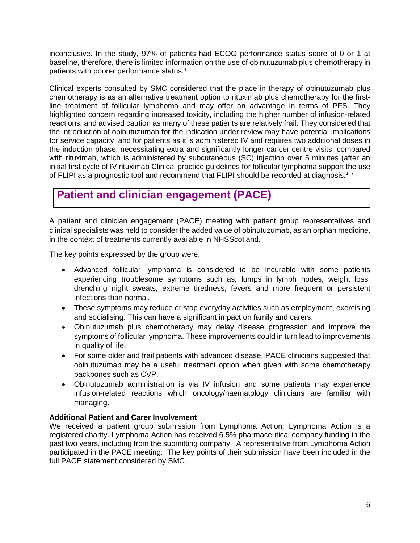inconclusive. In the study, 97% of patients had ECOG performance status score of 0 or 1 at baseline, therefore, there is limited information on the use of obinutuzumab plus chemotherapy in patients with poorer performance status. 1

Clinical experts consulted by SMC considered that the place in therapy of obinutuzumab plus chemotherapy is as an alternative treatment option to rituximab plus chemotherapy for the firstline treatment of follicular lymphoma and may offer an advantage in terms of PFS. They highlighted concern regarding increased toxicity, including the higher number of infusion-related reactions, and advised caution as many of these patients are relatively frail. They considered that the introduction of obinutuzumab for the indication under review may have potential implications for service capacity and for patients as it is administered IV and requires two additional doses in the induction phase, necessitating extra and significantly longer cancer centre visits, compared with rituximab, which is administered by subcutaneous (SC) injection over 5 minutes (after an initial first cycle of IV rituximab Clinical practice guidelines for follicular lymphoma support the use of FLIPI as a prognostic tool and recommend that FLIPI should be recorded at diagnosis.<sup>1, 7</sup>

# **Patient and clinician engagement (PACE)**

A patient and clinician engagement (PACE) meeting with patient group representatives and clinical specialists was held to consider the added value of obinutuzumab, as an orphan medicine, in the context of treatments currently available in NHSScotland.

The key points expressed by the group were:

- Advanced follicular lymphoma is considered to be incurable with some patients experiencing troublesome symptoms such as; lumps in lymph nodes, weight loss, drenching night sweats, extreme tiredness, fevers and more frequent or persistent infections than normal.
- These symptoms may reduce or stop everyday activities such as employment, exercising and socialising. This can have a significant impact on family and carers.
- Obinutuzumab plus chemotherapy may delay disease progression and improve the symptoms of follicular lymphoma. These improvements could in turn lead to improvements in quality of life.
- For some older and frail patients with advanced disease, PACE clinicians suggested that obinutuzumab may be a useful treatment option when given with some chemotherapy backbones such as CVP.
- Obinutuzumab administration is via IV infusion and some patients may experience infusion-related reactions which oncology/haematology clinicians are familiar with managing.

#### **Additional Patient and Carer Involvement**

We received a patient group submission from Lymphoma Action. Lymphoma Action is a registered charity. Lymphoma Action has received 6.5% pharmaceutical company funding in the past two years, including from the submitting company. A representative from Lymphoma Action participated in the PACE meeting. The key points of their submission have been included in the full PACE statement considered by SMC.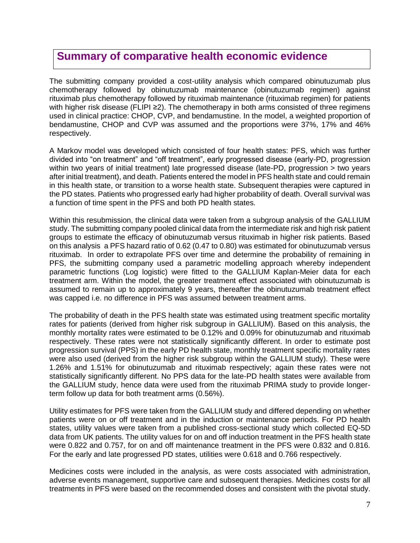## **Summary of comparative health economic evidence**

The submitting company provided a cost-utility analysis which compared obinutuzumab plus chemotherapy followed by obinutuzumab maintenance (obinutuzumab regimen) against rituximab plus chemotherapy followed by rituximab maintenance (rituximab regimen) for patients with higher risk disease (FLIPI ≥2). The chemotherapy in both arms consisted of three regimens used in clinical practice: CHOP, CVP, and bendamustine. In the model, a weighted proportion of bendamustine, CHOP and CVP was assumed and the proportions were 37%, 17% and 46% respectively.

A Markov model was developed which consisted of four health states: PFS, which was further divided into "on treatment" and "off treatment", early progressed disease (early-PD, progression within two years of initial treatment) late progressed disease (late-PD, progression > two years after initial treatment), and death. Patients entered the model in PFS health state and could remain in this health state, or transition to a worse health state. Subsequent therapies were captured in the PD states. Patients who progressed early had higher probability of death. Overall survival was a function of time spent in the PFS and both PD health states.

Within this resubmission, the clinical data were taken from a subgroup analysis of the GALLIUM study. The submitting company pooled clinical data from the intermediate risk and high risk patient groups to estimate the efficacy of obinutuzumab versus rituximab in higher risk patients. Based on this analysis a PFS hazard ratio of 0.62 (0.47 to 0.80) was estimated for obinutuzumab versus rituximab. In order to extrapolate PFS over time and determine the probability of remaining in PFS, the submitting company used a parametric modelling approach whereby independent parametric functions (Log logistic) were fitted to the GALLIUM Kaplan-Meier data for each treatment arm. Within the model, the greater treatment effect associated with obinutuzumab is assumed to remain up to approximately 9 years, thereafter the obinutuzumab treatment effect was capped i.e. no difference in PFS was assumed between treatment arms.

The probability of death in the PFS health state was estimated using treatment specific mortality rates for patients (derived from higher risk subgroup in GALLIUM). Based on this analysis, the monthly mortality rates were estimated to be 0.12% and 0.09% for obinutuzumab and rituximab respectively. These rates were not statistically significantly different. In order to estimate post progression survival (PPS) in the early PD health state, monthly treatment specific mortality rates were also used (derived from the higher risk subgroup within the GALLIUM study). These were 1.26% and 1.51% for obinutuzumab and rituximab respectively; again these rates were not statistically significantly different. No PPS data for the late-PD health states were available from the GALLIUM study, hence data were used from the rituximab PRIMA study to provide longerterm follow up data for both treatment arms (0.56%).

Utility estimates for PFS were taken from the GALLIUM study and differed depending on whether patients were on or off treatment and in the induction or maintenance periods. For PD health states, utility values were taken from a published cross-sectional study which collected EQ-5D data from UK patients. The utility values for on and off induction treatment in the PFS health state were 0.822 and 0.757, for on and off maintenance treatment in the PFS were 0.832 and 0.816. For the early and late progressed PD states, utilities were 0.618 and 0.766 respectively.

Medicines costs were included in the analysis, as were costs associated with administration, adverse events management, supportive care and subsequent therapies. Medicines costs for all treatments in PFS were based on the recommended doses and consistent with the pivotal study.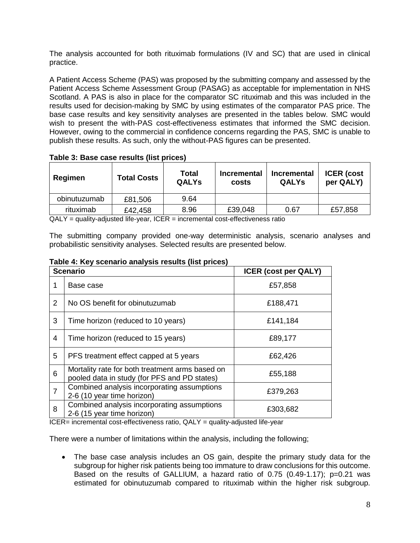The analysis accounted for both rituximab formulations (IV and SC) that are used in clinical practice.

A Patient Access Scheme (PAS) was proposed by the submitting company and assessed by the Patient Access Scheme Assessment Group (PASAG) as acceptable for implementation in NHS Scotland. A PAS is also in place for the comparator SC rituximab and this was included in the results used for decision-making by SMC by using estimates of the comparator PAS price. The base case results and key sensitivity analyses are presented in the tables below. SMC would wish to present the with-PAS cost-effectiveness estimates that informed the SMC decision. However, owing to the commercial in confidence concerns regarding the PAS, SMC is unable to publish these results. As such, only the without-PAS figures can be presented.

| Regimen      | <b>Total Costs</b> | Total<br><b>QALYs</b> | <b>Incremental</b><br>costs | <b>Incremental</b><br><b>QALYs</b> | <b>ICER</b> (cost<br>per QALY) |
|--------------|--------------------|-----------------------|-----------------------------|------------------------------------|--------------------------------|
| obinutuzumab | £81,506            | 9.64                  |                             |                                    |                                |
| rituximab    | £42,458            | 8.96                  | £39,048                     | 0.67                               | £57,858                        |

**Table 3: Base case results (list prices)**

QALY = quality-adjusted life-year, ICER = incremental cost-effectiveness ratio

The submitting company provided one-way deterministic analysis, scenario analyses and probabilistic sensitivity analyses. Selected results are presented below.

|                | <b>Scenario</b>                                                                                 | <b>ICER (cost per QALY)</b> |
|----------------|-------------------------------------------------------------------------------------------------|-----------------------------|
|                | Base case                                                                                       | £57,858                     |
| 2              | No OS benefit for obinutuzumab                                                                  | £188,471                    |
| 3              | Time horizon (reduced to 10 years)                                                              | £141,184                    |
| 4              | Time horizon (reduced to 15 years)                                                              | £89,177                     |
| 5              | PFS treatment effect capped at 5 years                                                          | £62,426                     |
| 6              | Mortality rate for both treatment arms based on<br>pooled data in study (for PFS and PD states) | £55,188                     |
| $\overline{7}$ | Combined analysis incorporating assumptions<br>2-6 (10 year time horizon)                       | £379,263                    |
| 8              | Combined analysis incorporating assumptions<br>2-6 (15 year time horizon)                       | £303,682                    |

**Table 4: Key scenario analysis results (list prices)**

 $ICER =$  incremental cost-effectiveness ratio,  $QALY =$  quality-adjusted life-year

There were a number of limitations within the analysis, including the following;

 The base case analysis includes an OS gain, despite the primary study data for the subgroup for higher risk patients being too immature to draw conclusions for this outcome. Based on the results of GALLIUM, a hazard ratio of 0.75 (0.49-1.17); p=0.21 was estimated for obinutuzumab compared to rituximab within the higher risk subgroup.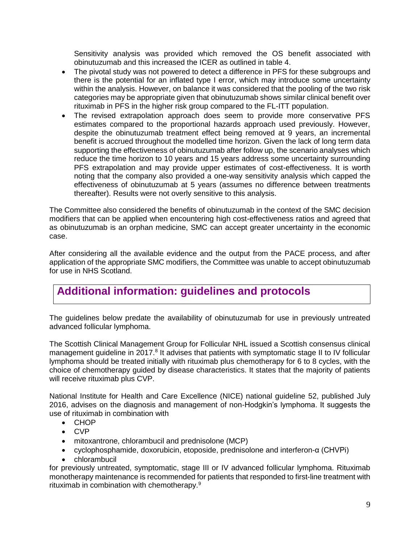Sensitivity analysis was provided which removed the OS benefit associated with obinutuzumab and this increased the ICER as outlined in table 4.

- The pivotal study was not powered to detect a difference in PFS for these subgroups and there is the potential for an inflated type I error, which may introduce some uncertainty within the analysis. However, on balance it was considered that the pooling of the two risk categories may be appropriate given that obinutuzumab shows similar clinical benefit over rituximab in PFS in the higher risk group compared to the FL-ITT population.
- The revised extrapolation approach does seem to provide more conservative PFS estimates compared to the proportional hazards approach used previously. However, despite the obinutuzumab treatment effect being removed at 9 years, an incremental benefit is accrued throughout the modelled time horizon. Given the lack of long term data supporting the effectiveness of obinutuzumab after follow up, the scenario analyses which reduce the time horizon to 10 years and 15 years address some uncertainty surrounding PFS extrapolation and may provide upper estimates of cost-effectiveness. It is worth noting that the company also provided a one-way sensitivity analysis which capped the effectiveness of obinutuzumab at 5 years (assumes no difference between treatments thereafter). Results were not overly sensitive to this analysis.

The Committee also considered the benefits of obinutuzumab in the context of the SMC decision modifiers that can be applied when encountering high cost-effectiveness ratios and agreed that as obinutuzumab is an orphan medicine, SMC can accept greater uncertainty in the economic case.

After considering all the available evidence and the output from the PACE process, and after application of the appropriate SMC modifiers, the Committee was unable to accept obinutuzumab for use in NHS Scotland.

# **Additional information: guidelines and protocols**

The guidelines below predate the availability of obinutuzumab for use in previously untreated advanced follicular lymphoma.

The Scottish Clinical Management Group for Follicular NHL issued a Scottish consensus clinical management guideline in 2017.<sup>8</sup> It advises that patients with symptomatic stage II to IV follicular lymphoma should be treated initially with rituximab plus chemotherapy for 6 to 8 cycles, with the choice of chemotherapy guided by disease characteristics. It states that the majority of patients will receive rituximab plus CVP.

National Institute for Health and Care Excellence (NICE) national guideline 52, published July 2016, advises on the diagnosis and management of non-Hodgkin's lymphoma. It suggests the use of rituximab in combination with

- CHOP
- CVP
- mitoxantrone, chlorambucil and prednisolone (MCP)
- cyclophosphamide, doxorubicin, etoposide, prednisolone and interferon-α (CHVPi)
- chlorambucil

for previously untreated, symptomatic, stage III or IV advanced follicular lymphoma. Rituximab monotherapy maintenance is recommended for patients that responded to first-line treatment with rituximab in combination with chemotherapy.9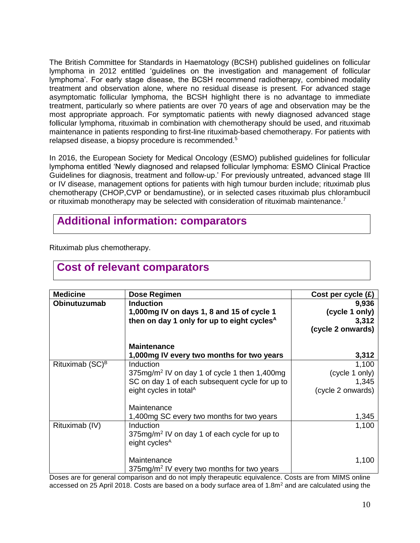The British Committee for Standards in Haematology (BCSH) published guidelines on follicular lymphoma in 2012 entitled 'guidelines on the investigation and management of follicular lymphoma'. For early stage disease, the BCSH recommend radiotherapy, combined modality treatment and observation alone, where no residual disease is present. For advanced stage asymptomatic follicular lymphoma, the BCSH highlight there is no advantage to immediate treatment, particularly so where patients are over 70 years of age and observation may be the most appropriate approach. For symptomatic patients with newly diagnosed advanced stage follicular lymphoma, rituximab in combination with chemotherapy should be used, and rituximab maintenance in patients responding to first-line rituximab-based chemotherapy. For patients with relapsed disease, a biopsy procedure is recommended.<sup>5</sup>

In 2016, the European Society for Medical Oncology (ESMO) published guidelines for follicular lymphoma entitled 'Newly diagnosed and relapsed follicular lymphoma: ESMO Clinical Practice Guidelines for diagnosis, treatment and follow-up.' For previously untreated, advanced stage III or IV disease, management options for patients with high tumour burden include; rituximab plus chemotherapy (CHOP,CVP or bendamustine), or in selected cases rituximab plus chlorambucil or rituximab monotherapy may be selected with consideration of rituximab maintenance.<sup>7</sup>

# **Additional information: comparators**

Rituximab plus chemotherapy.

| <b>Medicine</b>    | Dose Regimen                                             | Cost per cycle $(E)$ |
|--------------------|----------------------------------------------------------|----------------------|
| Obinutuzumab       | <b>Induction</b>                                         | 9,936                |
|                    | 1,000mg IV on days 1, 8 and 15 of cycle 1                | (cycle 1 only)       |
|                    | then on day 1 only for up to eight cycles <sup>A</sup>   | 3,312                |
|                    |                                                          | (cycle 2 onwards)    |
|                    | <b>Maintenance</b>                                       |                      |
|                    | 1,000mg IV every two months for two years                | 3,312                |
| Rituximab $(SC)^B$ | Induction                                                | 1,100                |
|                    | 375mg/m <sup>2</sup> IV on day 1 of cycle 1 then 1,400mg | (cycle 1 only)       |
|                    | SC on day 1 of each subsequent cycle for up to           | 1,345                |
|                    | eight cycles in total <sup>A</sup>                       | (cycle 2 onwards)    |
|                    | Maintenance                                              |                      |
|                    | 1,400 mg SC every two months for two years               | 1,345                |
| Rituximab (IV)     | Induction                                                | 1,100                |
|                    | $375mg/m2$ IV on day 1 of each cycle for up to           |                      |
|                    | eight cycles <sup>A</sup>                                |                      |
|                    | Maintenance                                              | 1,100                |
|                    | 375mg/m <sup>2</sup> IV every two months for two years   |                      |

#### **Cost of relevant comparators**

Doses are for general comparison and do not imply therapeutic equivalence. Costs are from MIMS online accessed on 25 April 2018. Costs are based on a body surface area of 1.8m<sup>2</sup> and are calculated using the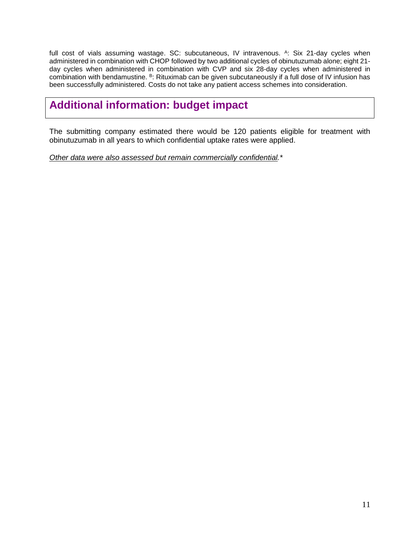full cost of vials assuming wastage. SC: subcutaneous, IV intravenous. A: Six 21-day cycles when administered in combination with CHOP followed by two additional cycles of obinutuzumab alone; eight 21 day cycles when administered in combination with CVP and six 28-day cycles when administered in combination with bendamustine. <sup>B</sup>: Rituximab can be given subcutaneously if a full dose of IV infusion has been successfully administered. Costs do not take any patient access schemes into consideration.

# **Additional information: budget impact**

The submitting company estimated there would be 120 patients eligible for treatment with obinutuzumab in all years to which confidential uptake rates were applied.

*Other data were also assessed but remain commercially confidential.\**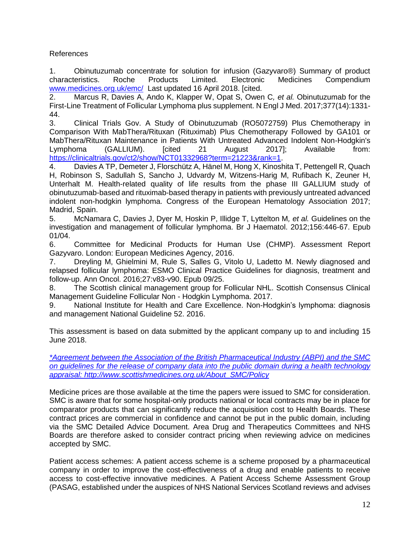#### References

1. Obinutuzumab concentrate for solution for infusion (Gazyvaro®) Summary of product characteristics. Roche Products Limited. Electronic Medicines Compendium [www.medicines.org.uk/emc/](file:///C:/Users/mike.mcmahon/AppData/Local/Temp/Temp1_NDC_edits.zip/www.medicines.org.uk/emc/) Last updated 16 April 2018. [cited.

2. Marcus R, Davies A, Ando K, Klapper W, Opat S, Owen C*, et al.* Obinutuzumab for the First-Line Treatment of Follicular Lymphoma plus supplement. N Engl J Med. 2017;377(14):1331- 44.

3. Clinical Trials Gov. A Study of Obinutuzumab (RO5072759) Plus Chemotherapy in Comparison With MabThera/Rituxan (Rituximab) Plus Chemotherapy Followed by GA101 or MabThera/Rituxan Maintenance in Patients With Untreated Advanced Indolent Non-Hodgkin's Lymphoma (GALLIUM). [cited 21 August 2017]; Available from: [https://clinicaltrials.gov/ct2/show/NCT01332968?term=21223&rank=1.](https://clinicaltrials.gov/ct2/show/NCT01332968?term=21223&rank=1)

4. Davies A TP, Demeter J, Florschütz A, Hänel M, Hong X, Kinoshita T, Pettengell R, Quach H, Robinson S, Sadullah S, Sancho J, Udvardy M, Witzens-Harig M, Rufibach K, Zeuner H, Unterhalt M. Health-related quality of life results from the phase III GALLIUM study of obinutuzumab-based and rituximab-based therapy in patients with previously untreated advanced indolent non-hodgkin lymphoma. Congress of the European Hematology Association 2017; Madrid, Spain.

5. McNamara C, Davies J, Dyer M, Hoskin P, Illidge T, Lyttelton M*, et al.* Guidelines on the investigation and management of follicular lymphoma. Br J Haematol. 2012;156:446-67. Epub 01/04.

6. Committee for Medicinal Products for Human Use (CHMP). Assessment Report Gazyvaro. London: European Medicines Agency, 2016.

7. Dreyling M, Ghielmini M, Rule S, Salles G, Vitolo U, Ladetto M. Newly diagnosed and relapsed follicular lymphoma: ESMO Clinical Practice Guidelines for diagnosis, treatment and follow-up. Ann Oncol. 2016;27:v83-v90. Epub 09/25.

8. The Scottish clinical management group for Follicular NHL. Scottish Consensus Clinical Management Guideline Follicular Non - Hodgkin Lymphoma. 2017.

9. National Institute for Health and Care Excellence. Non-Hodgkin's lymphoma: diagnosis and management National Guideline 52. 2016.

This assessment is based on data submitted by the applicant company up to and including 15 June 2018.

*[\\*Agreement between the Association of the British Pharmaceutical Industry \(ABPI\) and the SMC](https://www.scottishmedicines.org.uk/media/3572/20180710-release-of-company-data.pdf)  [on guidelines for the release of company data into the public domain during a health technology](https://www.scottishmedicines.org.uk/media/3572/20180710-release-of-company-data.pdf)  [appraisal: http://www.scottishmedicines.org.uk/About\\_SMC/Policy](https://www.scottishmedicines.org.uk/media/3572/20180710-release-of-company-data.pdf)*

Medicine prices are those available at the time the papers were issued to SMC for consideration. SMC is aware that for some hospital-only products national or local contracts may be in place for comparator products that can significantly reduce the acquisition cost to Health Boards. These contract prices are commercial in confidence and cannot be put in the public domain, including via the SMC Detailed Advice Document. Area Drug and Therapeutics Committees and NHS Boards are therefore asked to consider contract pricing when reviewing advice on medicines accepted by SMC.

Patient access schemes: A patient access scheme is a scheme proposed by a pharmaceutical company in order to improve the cost-effectiveness of a drug and enable patients to receive access to cost-effective innovative medicines. A Patient Access Scheme Assessment Group (PASAG, established under the auspices of NHS National Services Scotland reviews and advises